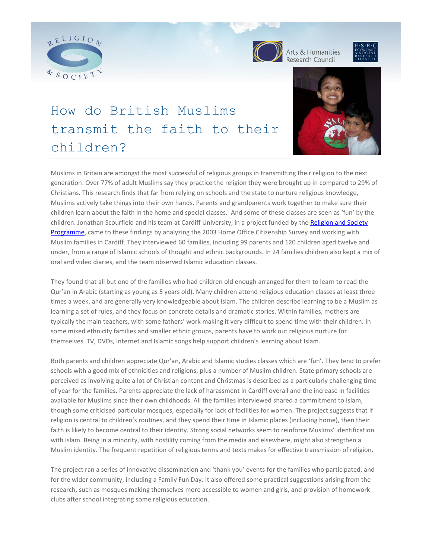



Arts & Humanities<br>Research Council



# How do British Muslims transmit the faith to their children?



Muslims in Britain are amongst the most successful of religious groups in transmitting their religion to the next generation. Over 77% of adult Muslims say they practice the religion they were brought up in compared to 29% of Christians. This research finds that far from relying on schools and the state to nurture religious knowledge, Muslims actively take things into their own hands. Parents and grandparents work together to make sure their children learn about the faith in the home and special classes. And some of these classes are seen as 'fun' by the children. Jonathan Scourfield and his team at Cardiff University, in a project funded by the Religion and Society [Programme,](http://www.religionandsociety.org.uk/) came to these findings by analyzing the 2003 Home Office Citizenship Survey and working with Muslim families in Cardiff. They interviewed 60 families, including 99 parents and 120 children aged twelve and under, from a range of Islamic schools of thought and ethnic backgrounds. In 24 families children also kept a mix of oral and video diaries, and the team observed Islamic education classes.

They found that all but one of the families who had children old enough arranged for them to learn to read the Qur'an in Arabic (starting as young as 5 years old). Many children attend religious education classes at least three times a week, and are generally very knowledgeable about Islam. The children describe learning to be a Muslim as learning a set of rules, and they focus on concrete details and dramatic stories. Within families, mothers are typically the main teachers, with some fathers' work making it very difficult to spend time with their children. In some mixed ethnicity families and smaller ethnic groups, parents have to work out religious nurture for themselves. TV, DVDs, Internet and Islamic songs help support children's learning about Islam.

Both parents and children appreciate Qur'an, Arabic and Islamic studies classes which are 'fun'. They tend to prefer schools with a good mix of ethnicities and religions, plus a number of Muslim children. State primary schools are perceived as involving quite a lot of Christian content and Christmas is described as a particularly challenging time of year for the families. Parents appreciate the lack of harassment in Cardiff overall and the increase in facilities available for Muslims since their own childhoods. All the families interviewed shared a commitment to Islam, though some criticised particular mosques, especially for lack of facilities for women. The project suggests that if religion is central to children's routines, and they spend their time in Islamic places (including home), then their faith is likely to become central to their identity. Strong social networks seem to reinforce Muslims' identification with Islam. Being in a minority, with hostility coming from the media and elsewhere, might also strengthen a Muslim identity. The frequent repetition of religious terms and texts makes for effective transmission of religion.

The project ran a series of innovative dissemination and 'thank you' events for the families who participated, and for the wider community, including a Family Fun Day. It also offered some practical suggestions arising from the research, such as mosques making themselves more accessible to women and girls, and provision of homework clubs after school integrating some religious education.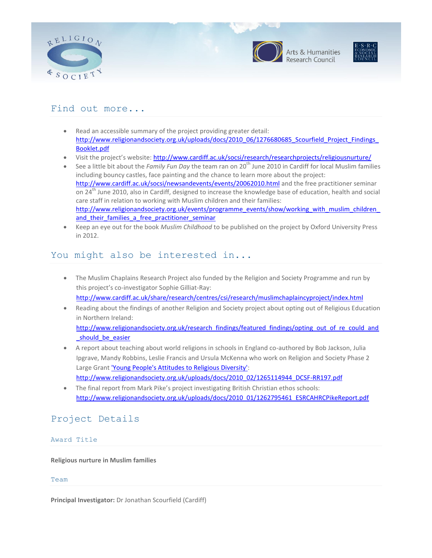



Arts & Humanities



## Find out more...

- Read an accessible summary of the project providing greater detail: http://www.religionandsociety.org.uk/uploads/docs/2010\_06/1276680685\_Scourfield\_Project\_Findings [Booklet.pdf](http://www.religionandsociety.org.uk/uploads/docs/2010_06/1276680685_Scourfield_Project_Findings_Booklet.pdf)
- Visit the project's website: <http://www.cardiff.ac.uk/socsi/research/researchprojects/religiousnurture/>
- See a little bit about the *Family Fun Day* the team ran on 20<sup>th</sup> June 2010 in Cardiff for local Muslim families including bouncy castles, face painting and the chance to learn more about the project: <http://www.cardiff.ac.uk/socsi/newsandevents/events/20062010.html> and the free practitioner seminar on 24<sup>th</sup> June 2010, also in Cardiff, designed to increase the knowledge base of education, health and social care staff in relation to working with Muslim children and their families: [http://www.religionandsociety.org.uk/events/programme\\_events/show/working\\_with\\_muslim\\_children\\_](http://www.religionandsociety.org.uk/events/programme_events/show/working_with_muslim_children_and_their_families_a_free_practitioner_seminar) and their families a free practitioner seminar
- Keep an eye out for the book *Muslim Childhood* to be published on the project by Oxford University Press in 2012.

### You might also be interested in...

- The Muslim Chaplains Research Project also funded by the Religion and Society Programme and run by this project's co-investigator Sophie Gilliat-Ray: <http://www.cardiff.ac.uk/share/research/centres/csi/research/muslimchaplaincyproject/index.html>
- Reading about the findings of another Religion and Society project about opting out of Religious Education in Northern Ireland:

[http://www.religionandsociety.org.uk/research\\_findings/featured\\_findings/opting\\_out\\_of\\_re\\_could\\_and](http://www.religionandsociety.org.uk/research_findings/featured_findings/opting_out_of_re_could_and_should_be_easier) should be easier

- A report about teaching about world religions in schools in England co-authored by Bob Jackson, Julia Ipgrave, Mandy Robbins, Leslie Francis and Ursula McKenna who work on Religion and Society Phase 2 Large Grant ['Young People's Attitudes to Religious Diversity':](http://www.religionandsociety.org.uk/research_findings/projects/phase_two/large_research_projects) [http://www.religionandsociety.org.uk/uploads/docs/2010\\_02/1265114944\\_DCSF-RR197.pdf](http://www.religionandsociety.org.uk/uploads/docs/2010_02/1265114944_DCSF-RR197.pdf)
- The final report from Mark Pike's project investigating British Christian ethos schools: [http://www.religionandsociety.org.uk/uploads/docs/2010\\_01/1262795461\\_ESRCAHRCPikeReport.pdf](http://www.religionandsociety.org.uk/uploads/docs/2010_01/1262795461_ESRCAHRCPikeReport.pdf)

# Project Details

#### Award Title

**Religious nurture in Muslim families**

#### Team

**Principal Investigator:** Dr Jonathan Scourfield (Cardiff)